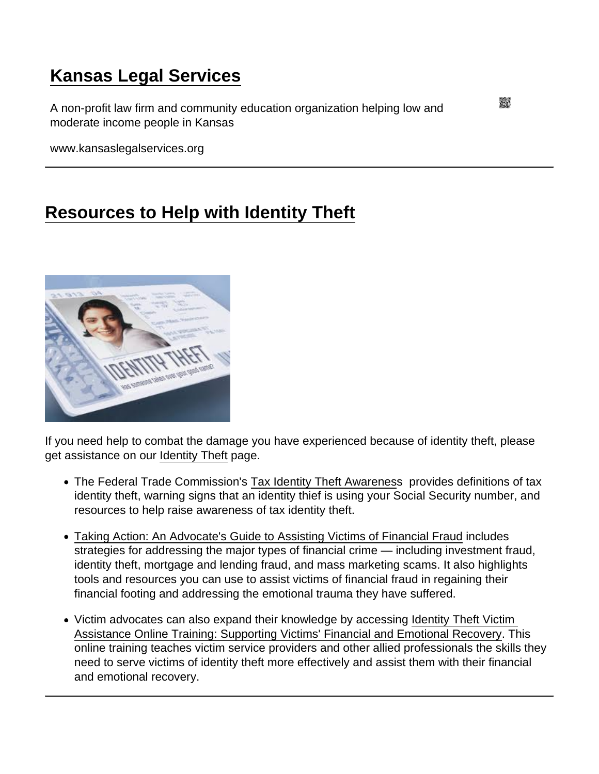## [Kansas Legal Services](https://www.kansaslegalservices.org/)

A non-profit law firm and community education organization helping low and moderate income people in Kansas

www.kansaslegalservices.org

## [Resources to Help with Identity Theft](https://www.kansaslegalservices.org/node/1758/resources-help-identity-theft)

If you need help to combat the damage you have experienced because of identity theft, please get assistance on our [Identity Theft](http://www.kansaslegalservices.org/node/1523) page.

- The Federal Trade Commission's [Tax Identity Theft Awareness](http://www.consumer.ftc.gov/features/feature-0029-tax-identity-theft-awareness-week) provides definitions of tax identity theft, warning signs that an identity thief is using your Social Security number, and resources to help raise awareness of tax identity theft.
- [Taking Action: An Advocate's Guide to Assisting Victims of Financial Fraud](http://www.saveandinvest.org/web/groups/sai/@sai/documents/sai_original_content/p358016.pdf) includes strategies for addressing the major types of financial crime — including investment fraud, identity theft, mortgage and lending fraud, and mass marketing scams. It also highlights tools and resources you can use to assist victims of financial fraud in regaining their financial footing and addressing the emotional trauma they have suffered.
- Victim advocates can also expand their knowledge by accessing Identity Theft Victim [Assistance Online Training: Supporting Victims' Financial and Emotional Recovery](https://www.ovcttac.gov/views/TrainingMaterials/dspOnline_IdentityTheft.cfm). This online training teaches victim service providers and other allied professionals the skills they need to serve victims of identity theft more effectively and assist them with their financial and emotional recovery.